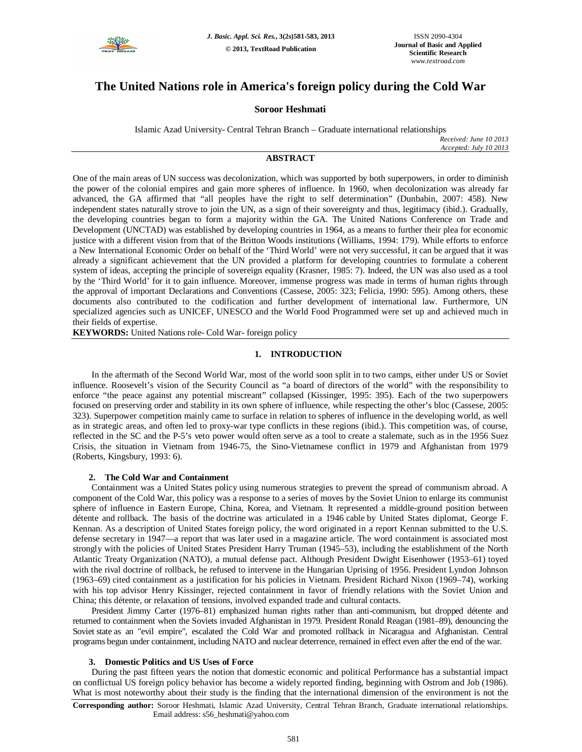

# **The United Nations role in America's foreign policy during the Cold War**

# **Soroor Heshmati**

Islamic Azad University- Central Tehran Branch – Graduate international relationships

*Received: June 10 2013 Accepted: July 10 2013*

# **ABSTRACT**

One of the main areas of UN success was decolonization, which was supported by both superpowers, in order to diminish the power of the colonial empires and gain more spheres of influence. In 1960, when decolonization was already far advanced, the GA affirmed that "all peoples have the right to self determination" (Dunbabin, 2007: 458). New independent states naturally strove to join the UN, as a sign of their sovereignty and thus, legitimacy (ibid.). Gradually, the developing countries began to form a majority within the GA. The United Nations Conference on Trade and Development (UNCTAD) was established by developing countries in 1964, as a means to further their plea for economic justice with a different vision from that of the Britton Woods institutions (Williams, 1994: 179). While efforts to enforce a New International Economic Order on behalf of the 'Third World' were not very successful, it can be argued that it was already a significant achievement that the UN provided a platform for developing countries to formulate a coherent system of ideas, accepting the principle of sovereign equality (Krasner, 1985: 7). Indeed, the UN was also used as a tool by the 'Third World' for it to gain influence. Moreover, immense progress was made in terms of human rights through the approval of important Declarations and Conventions (Cassese, 2005: 323; Felicia, 1990: 595). Among others, these documents also contributed to the codification and further development of international law. Furthermore, UN specialized agencies such as UNICEF, UNESCO and the World Food Programmed were set up and achieved much in their fields of expertise.

**KEYWORDS:** United Nations role- Cold War- foreign policy

#### **1. INTRODUCTION**

In the aftermath of the Second World War, most of the world soon split in to two camps, either under US or Soviet influence. Roosevelt's vision of the Security Council as "a board of directors of the world" with the responsibility to enforce "the peace against any potential miscreant" collapsed (Kissinger, 1995: 395). Each of the two superpowers focused on preserving order and stability in its own sphere of influence, while respecting the other's bloc (Cassese, 2005: 323). Superpower competition mainly came to surface in relation to spheres of influence in the developing world, as well as in strategic areas, and often led to proxy-war type conflicts in these regions (ibid.). This competition was, of course, reflected in the SC and the P-5's veto power would often serve as a tool to create a stalemate, such as in the 1956 Suez Crisis, the situation in Vietnam from 1946-75, the Sino-Vietnamese conflict in 1979 and Afghanistan from 1979 (Roberts, Kingsbury, 1993: 6).

#### **2. The Cold War and Containment**

Containment was a United States policy using numerous strategies to prevent the spread of communism abroad. A component of the Cold War, this policy was a response to a series of moves by the Soviet Union to enlarge its communist sphere of influence in Eastern Europe, China, Korea, and Vietnam. It represented a middle-ground position between détente and rollback. The basis of the doctrine was articulated in a 1946 cable by United States diplomat, George F. Kennan. As a description of United States foreign policy, the word originated in a report Kennan submitted to the U.S. defense secretary in 1947—a report that was later used in a magazine article. The word containment is associated most strongly with the policies of United States President Harry Truman (1945–53), including the establishment of the North Atlantic Treaty Organization (NATO), a mutual defense pact. Although President Dwight Eisenhower (1953–61) toyed with the rival doctrine of rollback, he refused to intervene in the Hungarian Uprising of 1956. President Lyndon Johnson (1963–69) cited containment as a justification for his policies in Vietnam. President Richard Nixon (1969–74), working with his top advisor Henry Kissinger, rejected containment in favor of friendly relations with the Soviet Union and China; this détente, or relaxation of tensions, involved expanded trade and cultural contacts.

President Jimmy Carter (1976–81) emphasized human rights rather than anti-communism, but dropped détente and returned to containment when the Soviets invaded Afghanistan in 1979. President Ronald Reagan (1981–89), denouncing the Soviet state as an "evil empire", escalated the Cold War and promoted rollback in Nicaragua and Afghanistan. Central programs begun under containment, including NATO and nuclear deterrence, remained in effect even after the end of the war.

#### **3. Domestic Politics and US Uses of Force**

During the past fifteen years the notion that domestic economic and political Performance has a substantial impact on conflictual US foreign policy behavior has become a widely reported finding, beginning with Ostrom and Job (1986). What is most noteworthy about their study is the finding that the international dimension of the environment is not the

**Corresponding author:** Soroor Heshmati, Islamic Azad University, Central Tehran Branch, Graduate international relationships. Email address: s56\_heshmati@yahoo.com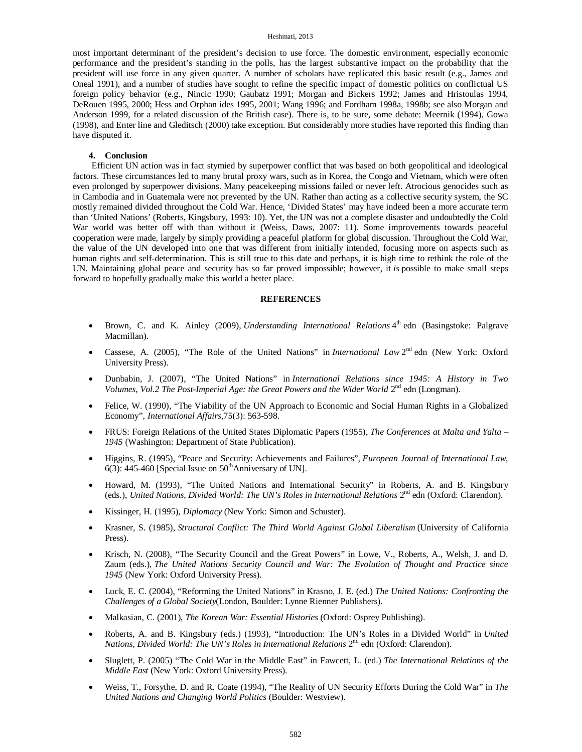## Heshmati, 2013

most important determinant of the president's decision to use force. The domestic environment, especially economic performance and the president's standing in the polls, has the largest substantive impact on the probability that the president will use force in any given quarter. A number of scholars have replicated this basic result (e.g., James and Oneal 1991), and a number of studies have sought to refine the specific impact of domestic politics on conflictual US foreign policy behavior (e.g., Nincic 1990; Gaubatz 1991; Morgan and Bickers 1992; James and Hristoulas 1994, DeRouen 1995, 2000; Hess and Orphan ides 1995, 2001; Wang 1996; and Fordham 1998a, 1998b; see also Morgan and Anderson 1999, for a related discussion of the British case). There is, to be sure, some debate: Meernik (1994), Gowa (1998), and Enter line and Gleditsch (2000) take exception. But considerably more studies have reported this finding than have disputed it.

## **4. Conclusion**

Efficient UN action was in fact stymied by superpower conflict that was based on both geopolitical and ideological factors. These circumstances led to many brutal proxy wars, such as in Korea, the Congo and Vietnam, which were often even prolonged by superpower divisions. Many peacekeeping missions failed or never left. Atrocious genocides such as in Cambodia and in Guatemala were not prevented by the UN. Rather than acting as a collective security system, the SC mostly remained divided throughout the Cold War. Hence, 'Divided States' may have indeed been a more accurate term than 'United Nations' (Roberts, Kingsbury, 1993: 10). Yet, the UN was not a complete disaster and undoubtedly the Cold War world was better off with than without it (Weiss, Daws, 2007: 11). Some improvements towards peaceful cooperation were made, largely by simply providing a peaceful platform for global discussion. Throughout the Cold War, the value of the UN developed into one that was different from initially intended, focusing more on aspects such as human rights and self-determination. This is still true to this date and perhaps, it is high time to rethink the role of the UN. Maintaining global peace and security has so far proved impossible; however, it *is* possible to make small steps forward to hopefully gradually make this world a better place.

## **REFERENCES**

- Brown, C. and K. Ainley (2009), *Understanding International Relations* 4<sup>th</sup> edn (Basingstoke: Palgrave Macmillan).
- Cassese, A. (2005), "The Role of the United Nations" in *International Law* 2<sup>nd</sup> edn (New York: Oxford University Press).
- Dunbabin, J. (2007), "The United Nations" in *International Relations since 1945: A History in Two*  Volumes, Vol.2 The Post-Imperial Age: the Great Powers and the Wider World 2<sup>nd</sup> edn (Longman).
- Felice, W. (1990), "The Viability of the UN Approach to Economic and Social Human Rights in a Globalized Economy", *International Affairs,*75(3): 563-598.
- FRUS: Foreign Relations of the United States Diplomatic Papers (1955), *The Conferences at Malta and Yalta – 1945* (Washington: Department of State Publication).
- Higgins, R. (1995), "Peace and Security: Achievements and Failures", *European Journal of International Law*, 6(3): 445-460 [Special Issue on  $50<sup>th</sup>$ Anniversary of UN].
- Howard, M. (1993), "The United Nations and International Security" in Roberts, A. and B. Kingsbury (eds.), *United Nations, Divided World: The UN's Roles in International Relations* 2<sup>nd</sup> edn (Oxford: Clarendon).
- Kissinger, H. (1995), *Diplomacy* (New York: Simon and Schuster).
- Krasner, S. (1985), *Structural Conflict: The Third World Against Global Liberalism* (University of California Press).
- Krisch, N. (2008), "The Security Council and the Great Powers" in Lowe, V., Roberts, A., Welsh, J. and D. Zaum (eds.), *The United Nations Security Council and War: The Evolution of Thought and Practice since 1945* (New York: Oxford University Press).
- Luck, E. C. (2004), "Reforming the United Nations" in Krasno, J. E. (ed.) *The United Nations: Confronting the Challenges of a Global Society*(London, Boulder: Lynne Rienner Publishers).
- Malkasian, C. (2001), *The Korean War: Essential Histories* (Oxford: Osprey Publishing).
- Roberts, A. and B. Kingsbury (eds.) (1993), "Introduction: The UN's Roles in a Divided World" in *United*  Nations, Divided World: The UN's Roles in International Relations 2<sup>nd</sup> edn (Oxford: Clarendon).
- Sluglett, P. (2005) "The Cold War in the Middle East" in Fawcett, L. (ed.) *The International Relations of the Middle East* (New York: Oxford University Press).
- Weiss, T., Forsythe, D. and R. Coate (1994), "The Reality of UN Security Efforts During the Cold War" in *The United Nations and Changing World Politics* (Boulder: Westview).